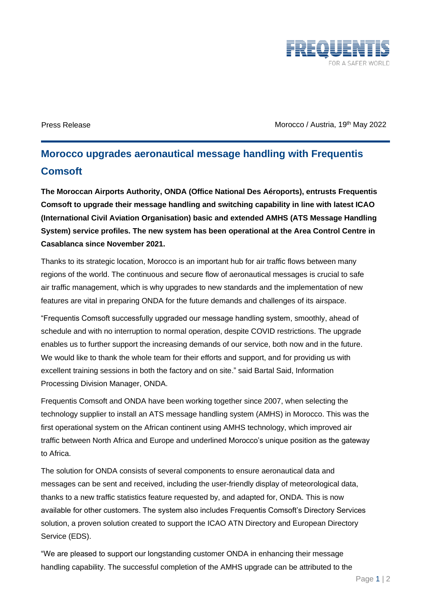

Press Release Morocco / Austria, 19<sup>th</sup> May 2022

## **Morocco upgrades aeronautical message handling with Frequentis Comsoft**

**The Moroccan Airports Authority, ONDA (Office National Des Aéroports), entrusts Frequentis Comsoft to upgrade their message handling and switching capability in line with latest ICAO (International Civil Aviation Organisation) basic and extended AMHS (ATS Message Handling System) service profiles. The new system has been operational at the Area Control Centre in Casablanca since November 2021.**

Thanks to its strategic location, Morocco is an important hub for air traffic flows between many regions of the world. The continuous and secure flow of aeronautical messages is crucial to safe air traffic management, which is why upgrades to new standards and the implementation of new features are vital in preparing ONDA for the future demands and challenges of its airspace.

"Frequentis Comsoft successfully upgraded our message handling system, smoothly, ahead of schedule and with no interruption to normal operation, despite COVID restrictions. The upgrade enables us to further support the increasing demands of our service, both now and in the future. We would like to thank the whole team for their efforts and support, and for providing us with excellent training sessions in both the factory and on site." said Bartal Said, Information Processing Division Manager, ONDA.

Frequentis Comsoft and ONDA have been working together since 2007, when selecting the technology supplier to install an ATS message handling system (AMHS) in Morocco. This was the first operational system on the African continent using AMHS technology, which improved air traffic between North Africa and Europe and underlined Morocco's unique position as the gateway to Africa.

The solution for ONDA consists of several components to ensure aeronautical data and messages can be sent and received, including the user-friendly display of meteorological data, thanks to a new traffic statistics feature requested by, and adapted for, ONDA. This is now available for other customers. The system also includes Frequentis Comsoft's Directory Services solution, a proven solution created to support the ICAO ATN Directory and European Directory Service (EDS).

"We are pleased to support our longstanding customer ONDA in enhancing their message handling capability. The successful completion of the AMHS upgrade can be attributed to the